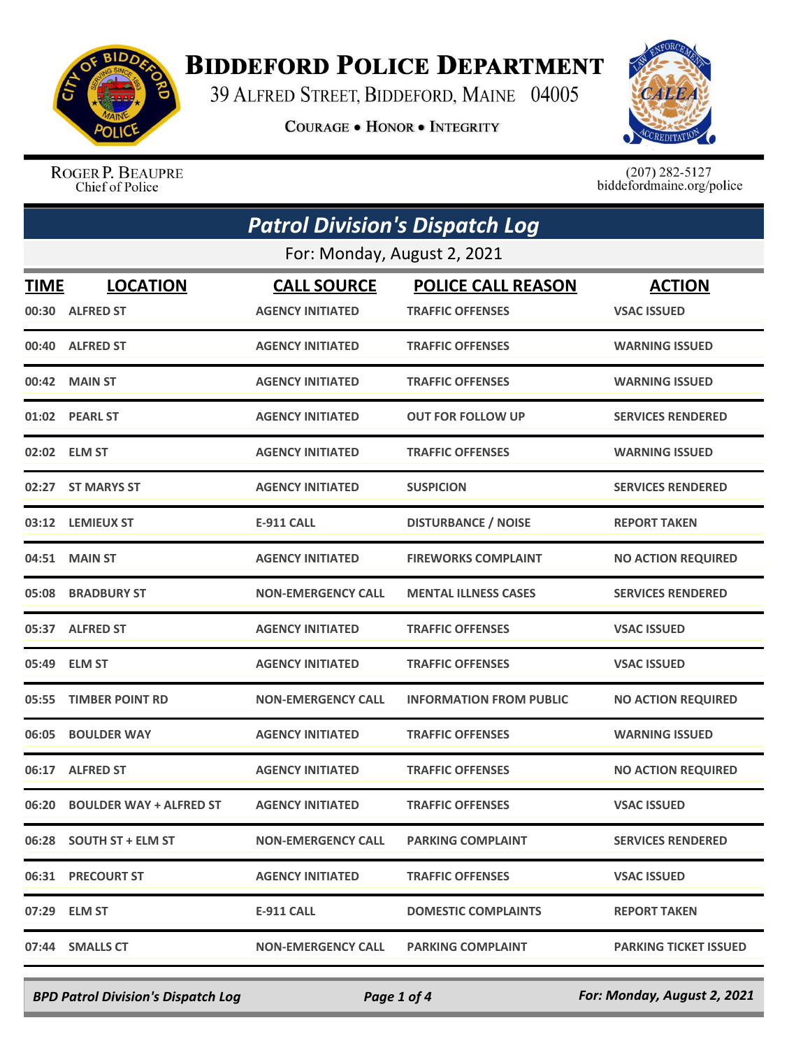

## **BIDDEFORD POLICE DEPARTMENT**

39 ALFRED STREET, BIDDEFORD, MAINE 04005

**COURAGE . HONOR . INTEGRITY** 



ROGER P. BEAUPRE Chief of Police

 $(207)$  282-5127<br>biddefordmaine.org/police

| <b>Patrol Division's Dispatch Log</b> |                                     |                                               |                                                      |                                     |  |
|---------------------------------------|-------------------------------------|-----------------------------------------------|------------------------------------------------------|-------------------------------------|--|
| For: Monday, August 2, 2021           |                                     |                                               |                                                      |                                     |  |
| <b>TIME</b><br>00:30                  | <b>LOCATION</b><br><b>ALFRED ST</b> | <b>CALL SOURCE</b><br><b>AGENCY INITIATED</b> | <b>POLICE CALL REASON</b><br><b>TRAFFIC OFFENSES</b> | <b>ACTION</b><br><b>VSAC ISSUED</b> |  |
| 00:40                                 | <b>ALFRED ST</b>                    | <b>AGENCY INITIATED</b>                       | <b>TRAFFIC OFFENSES</b>                              | <b>WARNING ISSUED</b>               |  |
|                                       | 00:42 MAIN ST                       | <b>AGENCY INITIATED</b>                       | <b>TRAFFIC OFFENSES</b>                              | <b>WARNING ISSUED</b>               |  |
|                                       | 01:02 PEARL ST                      | <b>AGENCY INITIATED</b>                       | <b>OUT FOR FOLLOW UP</b>                             | <b>SERVICES RENDERED</b>            |  |
|                                       | 02:02 ELM ST                        | <b>AGENCY INITIATED</b>                       | <b>TRAFFIC OFFENSES</b>                              | <b>WARNING ISSUED</b>               |  |
|                                       | 02:27 ST MARYS ST                   | <b>AGENCY INITIATED</b>                       | <b>SUSPICION</b>                                     | <b>SERVICES RENDERED</b>            |  |
|                                       | 03:12 LEMIEUX ST                    | <b>E-911 CALL</b>                             | <b>DISTURBANCE / NOISE</b>                           | <b>REPORT TAKEN</b>                 |  |
|                                       | 04:51 MAIN ST                       | <b>AGENCY INITIATED</b>                       | <b>FIREWORKS COMPLAINT</b>                           | <b>NO ACTION REQUIRED</b>           |  |
|                                       | 05:08 BRADBURY ST                   | <b>NON-EMERGENCY CALL</b>                     | <b>MENTAL ILLNESS CASES</b>                          | <b>SERVICES RENDERED</b>            |  |
|                                       | 05:37 ALFRED ST                     | <b>AGENCY INITIATED</b>                       | <b>TRAFFIC OFFENSES</b>                              | <b>VSAC ISSUED</b>                  |  |
|                                       | 05:49 ELM ST                        | <b>AGENCY INITIATED</b>                       | <b>TRAFFIC OFFENSES</b>                              | <b>VSAC ISSUED</b>                  |  |
| 05:55                                 | <b>TIMBER POINT RD</b>              | <b>NON-EMERGENCY CALL</b>                     | <b>INFORMATION FROM PUBLIC</b>                       | <b>NO ACTION REQUIRED</b>           |  |
| 06:05                                 | <b>BOULDER WAY</b>                  | <b>AGENCY INITIATED</b>                       | <b>TRAFFIC OFFENSES</b>                              | <b>WARNING ISSUED</b>               |  |
|                                       | 06:17 ALFRED ST                     | <b>AGENCY INITIATED</b>                       | <b>TRAFFIC OFFENSES</b>                              | <b>NO ACTION REQUIRED</b>           |  |
|                                       | 06:20 BOULDER WAY + ALFRED ST       | <b>AGENCY INITIATED</b>                       | <b>TRAFFIC OFFENSES</b>                              | <b>VSAC ISSUED</b>                  |  |
|                                       | 06:28 SOUTH ST + ELM ST             | <b>NON-EMERGENCY CALL</b>                     | <b>PARKING COMPLAINT</b>                             | <b>SERVICES RENDERED</b>            |  |
|                                       | 06:31 PRECOURT ST                   | <b>AGENCY INITIATED</b>                       | <b>TRAFFIC OFFENSES</b>                              | <b>VSAC ISSUED</b>                  |  |
|                                       | 07:29 ELM ST                        | <b>E-911 CALL</b>                             | <b>DOMESTIC COMPLAINTS</b>                           | <b>REPORT TAKEN</b>                 |  |
|                                       | 07:44 SMALLS CT                     | <b>NON-EMERGENCY CALL</b>                     | <b>PARKING COMPLAINT</b>                             | <b>PARKING TICKET ISSUED</b>        |  |

*BPD Patrol Division's Dispatch Log Page 1 of 4 For: Monday, August 2, 2021*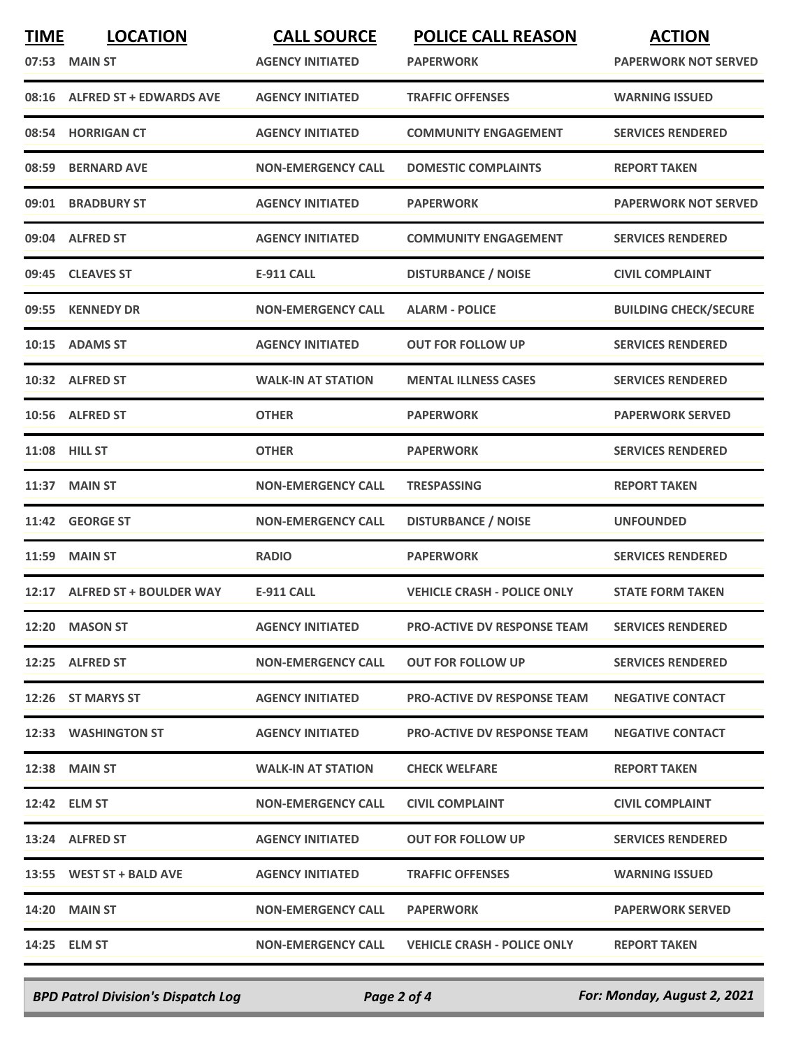| <b>TIME</b> | <b>LOCATION</b>                | <b>CALL SOURCE</b>        | <b>POLICE CALL REASON</b>          | <b>ACTION</b>                |
|-------------|--------------------------------|---------------------------|------------------------------------|------------------------------|
|             | 07:53 MAIN ST                  | <b>AGENCY INITIATED</b>   | <b>PAPERWORK</b>                   | <b>PAPERWORK NOT SERVED</b>  |
| 08:16       | <b>ALFRED ST + EDWARDS AVE</b> | <b>AGENCY INITIATED</b>   | <b>TRAFFIC OFFENSES</b>            | <b>WARNING ISSUED</b>        |
|             | 08:54 HORRIGAN CT              | <b>AGENCY INITIATED</b>   | <b>COMMUNITY ENGAGEMENT</b>        | <b>SERVICES RENDERED</b>     |
| 08:59       | <b>BERNARD AVE</b>             | <b>NON-EMERGENCY CALL</b> | <b>DOMESTIC COMPLAINTS</b>         | <b>REPORT TAKEN</b>          |
| 09:01       | <b>BRADBURY ST</b>             | <b>AGENCY INITIATED</b>   | <b>PAPERWORK</b>                   | <b>PAPERWORK NOT SERVED</b>  |
|             | 09:04 ALFRED ST                | <b>AGENCY INITIATED</b>   | <b>COMMUNITY ENGAGEMENT</b>        | <b>SERVICES RENDERED</b>     |
|             | 09:45 CLEAVES ST               | <b>E-911 CALL</b>         | <b>DISTURBANCE / NOISE</b>         | <b>CIVIL COMPLAINT</b>       |
| 09:55       | <b>KENNEDY DR</b>              | <b>NON-EMERGENCY CALL</b> | <b>ALARM - POLICE</b>              | <b>BUILDING CHECK/SECURE</b> |
| 10:15       | <b>ADAMS ST</b>                | <b>AGENCY INITIATED</b>   | <b>OUT FOR FOLLOW UP</b>           | <b>SERVICES RENDERED</b>     |
|             | 10:32 ALFRED ST                | <b>WALK-IN AT STATION</b> | <b>MENTAL ILLNESS CASES</b>        | <b>SERVICES RENDERED</b>     |
|             | 10:56 ALFRED ST                | <b>OTHER</b>              | <b>PAPERWORK</b>                   | <b>PAPERWORK SERVED</b>      |
| 11:08       | <b>HILL ST</b>                 | <b>OTHER</b>              | <b>PAPERWORK</b>                   | <b>SERVICES RENDERED</b>     |
| 11:37       | <b>MAIN ST</b>                 | <b>NON-EMERGENCY CALL</b> | <b>TRESPASSING</b>                 | <b>REPORT TAKEN</b>          |
| 11:42       | <b>GEORGE ST</b>               | <b>NON-EMERGENCY CALL</b> | <b>DISTURBANCE / NOISE</b>         | <b>UNFOUNDED</b>             |
| 11:59       | <b>MAIN ST</b>                 | <b>RADIO</b>              | <b>PAPERWORK</b>                   | <b>SERVICES RENDERED</b>     |
| 12:17       | <b>ALFRED ST + BOULDER WAY</b> | <b>E-911 CALL</b>         | <b>VEHICLE CRASH - POLICE ONLY</b> | <b>STATE FORM TAKEN</b>      |
|             | 12:20 MASON ST                 | <b>AGENCY INITIATED</b>   | <b>PRO-ACTIVE DV RESPONSE TEAM</b> | <b>SERVICES RENDERED</b>     |
|             | 12:25 ALFRED ST                | <b>NON-EMERGENCY CALL</b> | <b>OUT FOR FOLLOW UP</b>           | <b>SERVICES RENDERED</b>     |
|             | 12:26 ST MARYS ST              | <b>AGENCY INITIATED</b>   | <b>PRO-ACTIVE DV RESPONSE TEAM</b> | <b>NEGATIVE CONTACT</b>      |
|             | 12:33 WASHINGTON ST            | <b>AGENCY INITIATED</b>   | <b>PRO-ACTIVE DV RESPONSE TEAM</b> | <b>NEGATIVE CONTACT</b>      |
|             | <b>12:38 MAIN ST</b>           | <b>WALK-IN AT STATION</b> | <b>CHECK WELFARE</b>               | <b>REPORT TAKEN</b>          |
|             | 12:42 ELM ST                   | <b>NON-EMERGENCY CALL</b> | <b>CIVIL COMPLAINT</b>             | <b>CIVIL COMPLAINT</b>       |
|             | 13:24 ALFRED ST                | <b>AGENCY INITIATED</b>   | <b>OUT FOR FOLLOW UP</b>           | <b>SERVICES RENDERED</b>     |
|             | 13:55 WEST ST + BALD AVE       | <b>AGENCY INITIATED</b>   | <b>TRAFFIC OFFENSES</b>            | <b>WARNING ISSUED</b>        |
|             | <b>14:20 MAIN ST</b>           | <b>NON-EMERGENCY CALL</b> | <b>PAPERWORK</b>                   | <b>PAPERWORK SERVED</b>      |
|             | 14:25 ELM ST                   | <b>NON-EMERGENCY CALL</b> | <b>VEHICLE CRASH - POLICE ONLY</b> | <b>REPORT TAKEN</b>          |
|             |                                |                           |                                    |                              |

*BPD Patrol Division's Dispatch Log Page 2 of 4 For: Monday, August 2, 2021*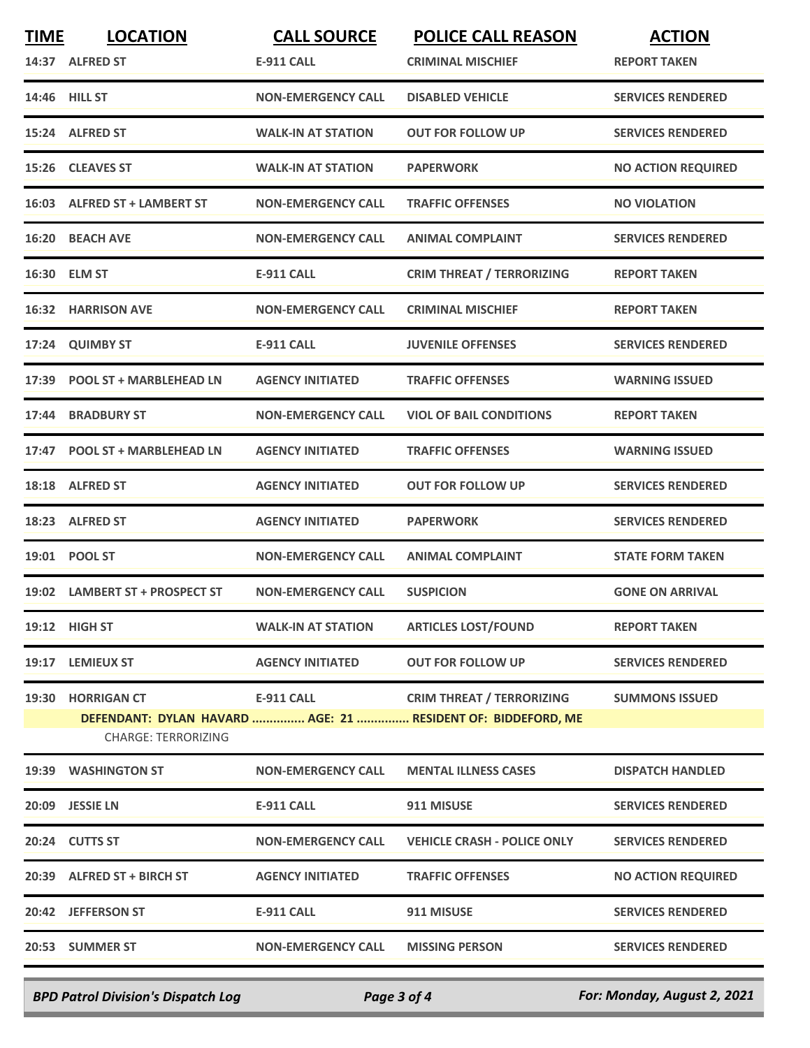| <b>TIME</b> | <b>LOCATION</b>                                  | <b>CALL SOURCE</b>        | <b>POLICE CALL REASON</b>                                                                        | <b>ACTION</b>             |
|-------------|--------------------------------------------------|---------------------------|--------------------------------------------------------------------------------------------------|---------------------------|
|             | 14:37 ALFRED ST                                  | <b>E-911 CALL</b>         | <b>CRIMINAL MISCHIEF</b>                                                                         | <b>REPORT TAKEN</b>       |
|             | 14:46 HILL ST                                    | <b>NON-EMERGENCY CALL</b> | <b>DISABLED VEHICLE</b>                                                                          | <b>SERVICES RENDERED</b>  |
|             | 15:24 ALFRED ST                                  | <b>WALK-IN AT STATION</b> | <b>OUT FOR FOLLOW UP</b>                                                                         | <b>SERVICES RENDERED</b>  |
|             | 15:26 CLEAVES ST                                 | <b>WALK-IN AT STATION</b> | <b>PAPERWORK</b>                                                                                 | <b>NO ACTION REQUIRED</b> |
|             | 16:03 ALFRED ST + LAMBERT ST                     | <b>NON-EMERGENCY CALL</b> | <b>TRAFFIC OFFENSES</b>                                                                          | <b>NO VIOLATION</b>       |
|             | 16:20 BEACH AVE                                  | <b>NON-EMERGENCY CALL</b> | <b>ANIMAL COMPLAINT</b>                                                                          | <b>SERVICES RENDERED</b>  |
|             | 16:30 ELM ST                                     | <b>E-911 CALL</b>         | <b>CRIM THREAT / TERRORIZING</b>                                                                 | <b>REPORT TAKEN</b>       |
|             | 16:32 HARRISON AVE                               | <b>NON-EMERGENCY CALL</b> | <b>CRIMINAL MISCHIEF</b>                                                                         | <b>REPORT TAKEN</b>       |
| 17:24       | <b>QUIMBY ST</b>                                 | <b>E-911 CALL</b>         | <b>JUVENILE OFFENSES</b>                                                                         | <b>SERVICES RENDERED</b>  |
|             | 17:39 POOL ST + MARBLEHEAD LN                    | <b>AGENCY INITIATED</b>   | <b>TRAFFIC OFFENSES</b>                                                                          | <b>WARNING ISSUED</b>     |
|             | 17:44 BRADBURY ST                                | <b>NON-EMERGENCY CALL</b> | <b>VIOL OF BAIL CONDITIONS</b>                                                                   | <b>REPORT TAKEN</b>       |
| 17:47       | <b>POOL ST + MARBLEHEAD LN</b>                   | <b>AGENCY INITIATED</b>   | <b>TRAFFIC OFFENSES</b>                                                                          | <b>WARNING ISSUED</b>     |
|             | 18:18 ALFRED ST                                  | <b>AGENCY INITIATED</b>   | <b>OUT FOR FOLLOW UP</b>                                                                         | <b>SERVICES RENDERED</b>  |
|             | 18:23 ALFRED ST                                  | <b>AGENCY INITIATED</b>   | <b>PAPERWORK</b>                                                                                 | <b>SERVICES RENDERED</b>  |
|             | 19:01 POOL ST                                    | <b>NON-EMERGENCY CALL</b> | <b>ANIMAL COMPLAINT</b>                                                                          | <b>STATE FORM TAKEN</b>   |
|             | 19:02 LAMBERT ST + PROSPECT ST                   | <b>NON-EMERGENCY CALL</b> | <b>SUSPICION</b>                                                                                 | <b>GONE ON ARRIVAL</b>    |
|             | 19:12 HIGH ST                                    | <b>WALK-IN AT STATION</b> | <b>ARTICLES LOST/FOUND</b>                                                                       | <b>REPORT TAKEN</b>       |
|             | 19:17 LEMIEUX ST                                 | <b>AGENCY INITIATED</b>   | <b>OUT FOR FOLLOW UP</b>                                                                         | <b>SERVICES RENDERED</b>  |
| 19:30       | <b>HORRIGAN CT</b><br><b>CHARGE: TERRORIZING</b> | <b>E-911 CALL</b>         | <b>CRIM THREAT / TERRORIZING</b><br>DEFENDANT: DYLAN HAVARD  AGE: 21  RESIDENT OF: BIDDEFORD, ME | <b>SUMMONS ISSUED</b>     |
|             | 19:39 WASHINGTON ST                              | <b>NON-EMERGENCY CALL</b> | <b>MENTAL ILLNESS CASES</b>                                                                      | <b>DISPATCH HANDLED</b>   |
|             | 20:09 JESSIE LN                                  | <b>E-911 CALL</b>         | 911 MISUSE                                                                                       | <b>SERVICES RENDERED</b>  |
|             | 20:24 CUTTS ST                                   | <b>NON-EMERGENCY CALL</b> | <b>VEHICLE CRASH - POLICE ONLY</b>                                                               | <b>SERVICES RENDERED</b>  |
|             | 20:39 ALFRED ST + BIRCH ST                       | <b>AGENCY INITIATED</b>   | <b>TRAFFIC OFFENSES</b>                                                                          | <b>NO ACTION REQUIRED</b> |
|             | 20:42 JEFFERSON ST                               | <b>E-911 CALL</b>         | 911 MISUSE                                                                                       | <b>SERVICES RENDERED</b>  |
|             | 20:53 SUMMER ST                                  | <b>NON-EMERGENCY CALL</b> | <b>MISSING PERSON</b>                                                                            | <b>SERVICES RENDERED</b>  |
|             |                                                  |                           |                                                                                                  |                           |

*BPD Patrol Division's Dispatch Log Page 3 of 4 For: Monday, August 2, 2021*